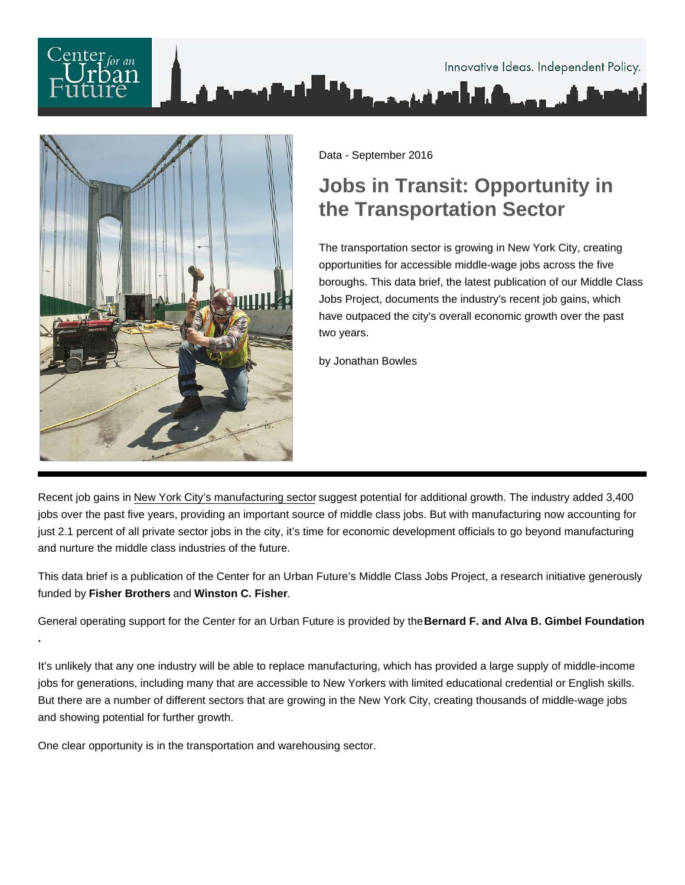Data - September 2016

## Jobs in Transit: Opportunity in the Transportation Sector

The transportation sector is growing in New York City, creating opportunities for accessible middle-wage jobs across the five boroughs. This data brief, the latest publication of our Middle Class Jobs Project, documents the industry's recent job gains, which have outpaced the city's overall economic growth over the past two years.

by Jonathan Bowles

Recent job gains in [New York City's manufacturing sector](https://nycfuture.org/research/publications/making-it-here-the-future-of-manufacturing-in-new-york-city) suggest potential for additional growth. The industry added 3,400 jobs over the past five years, providing an important source of middle class jobs. But with manufacturing now accounting for just 2.1 percent of all private sector jobs in the city, it's time for economic development officials to go beyond manufacturing and nurture the middle class industries of the future.

This data brief is a publication of the Center for an Urban Future's Middle Class Jobs Project, a research initiative generously funded by Fisher Brothers and Winston C. Fisher .

General operating support for the Center for an Urban Future is provided by the Bernard F. and Alva B. Gimbel Foundation .

It's unlikely that any one industry will be able to replace manufacturing, which has provided a large supply of middle-income jobs for generations, including many that are accessible to New Yorkers with limited educational credential or English skills. But there are a number of different sectors that are growing in the New York City, creating thousands of middle-wage jobs and showing potential for further growth.

One clear opportunity is in the transportation and warehousing sector.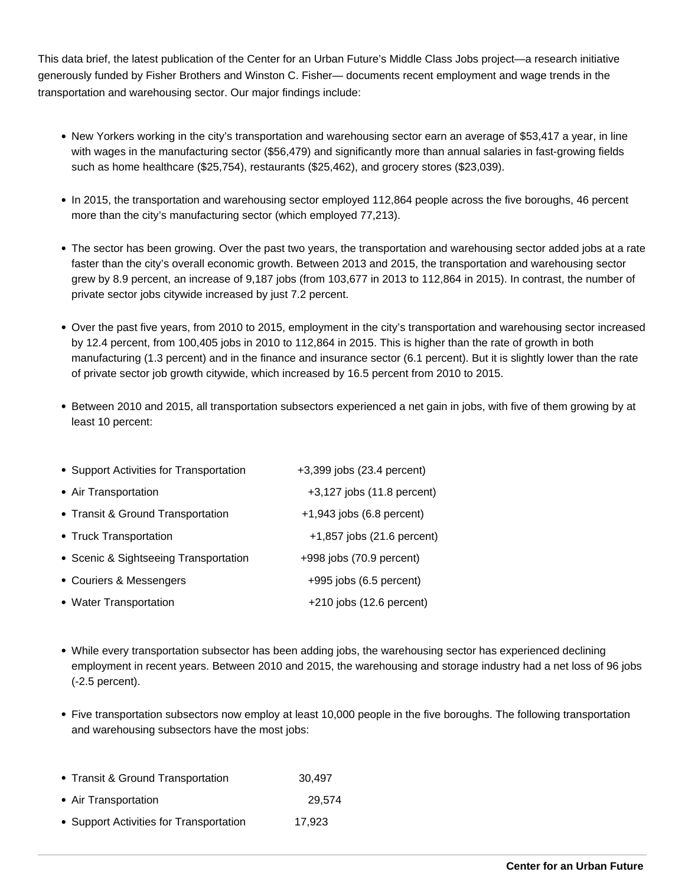This data brief, the latest publication of the Center for an Urban Future's Middle Class Jobs project—a research initiative generously funded by Fisher Brothers and Winston C. Fisher— documents recent employment and wage trends in the transportation and warehousing sector. Our major findings include:

- New Yorkers working in the city's transportation and warehousing sector earn an average of \$53,417 a year, in line with wages in the manufacturing sector (\$56,479) and significantly more than annual salaries in fast-growing fields such as home healthcare (\$25,754), restaurants (\$25,462), and grocery stores (\$23,039).
- In 2015, the transportation and warehousing sector employed 112,864 people across the five boroughs, 46 percent more than the city's manufacturing sector (which employed 77,213).
- The sector has been growing. Over the past two years, the transportation and warehousing sector added jobs at a rate faster than the city's overall economic growth. Between 2013 and 2015, the transportation and warehousing sector grew by 8.9 percent, an increase of 9,187 jobs (from 103,677 in 2013 to 112,864 in 2015). In contrast, the number of private sector jobs citywide increased by just 7.2 percent.
- Over the past five years, from 2010 to 2015, employment in the city's transportation and warehousing sector increased by 12.4 percent, from 100,405 jobs in 2010 to 112,864 in 2015. This is higher than the rate of growth in both manufacturing (1.3 percent) and in the finance and insurance sector (6.1 percent). But it is slightly lower than the rate of private sector job growth citywide, which increased by 16.5 percent from 2010 to 2015.
- Between 2010 and 2015, all transportation subsectors experienced a net gain in jobs, with five of them growing by at least 10 percent:

| • Support Activities for Transportation | +3,399 jobs (23.4 percent)  |
|-----------------------------------------|-----------------------------|
| • Air Transportation                    | +3,127 jobs (11.8 percent)  |
| • Transit & Ground Transportation       | $+1,943$ jobs (6.8 percent) |
| • Truck Transportation                  | +1,857 jobs (21.6 percent)  |
| • Scenic & Sightseeing Transportation   | +998 jobs (70.9 percent)    |
| • Couriers & Messengers                 | +995 jobs (6.5 percent)     |
| • Water Transportation                  | $+210$ jobs (12.6 percent)  |

- While every transportation subsector has been adding jobs, the warehousing sector has experienced declining employment in recent years. Between 2010 and 2015, the warehousing and storage industry had a net loss of 96 jobs (-2.5 percent).
- Five transportation subsectors now employ at least 10,000 people in the five boroughs. The following transportation and warehousing subsectors have the most jobs:
- Transit & Ground Transportation 30,497
- Air Transportation 29,574
- Support Activities for Transportation 17,923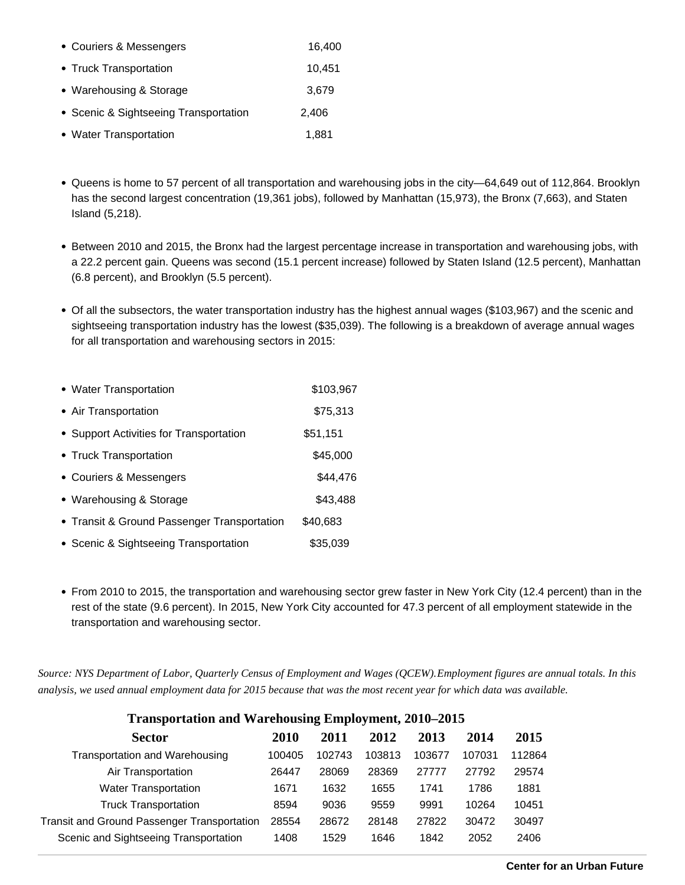| • Couriers & Messengers               | 16,400 |
|---------------------------------------|--------|
| • Truck Transportation                | 10,451 |
| • Warehousing & Storage               | 3,679  |
| • Scenic & Sightseeing Transportation | 2,406  |
| • Water Transportation                | 1.881  |

- Queens is home to 57 percent of all transportation and warehousing jobs in the city—64,649 out of 112,864. Brooklyn has the second largest concentration (19,361 jobs), followed by Manhattan (15,973), the Bronx (7,663), and Staten Island (5,218).
- Between 2010 and 2015, the Bronx had the largest percentage increase in transportation and warehousing jobs, with a 22.2 percent gain. Queens was second (15.1 percent increase) followed by Staten Island (12.5 percent), Manhattan (6.8 percent), and Brooklyn (5.5 percent).
- Of all the subsectors, the water transportation industry has the highest annual wages (\$103,967) and the scenic and sightseeing transportation industry has the lowest (\$35,039). The following is a breakdown of average annual wages for all transportation and warehousing sectors in 2015:

| • Water Transportation                      | \$103,967 |
|---------------------------------------------|-----------|
| • Air Transportation                        | \$75,313  |
| • Support Activities for Transportation     | \$51,151  |
| • Truck Transportation                      | \$45,000  |
| • Couriers & Messengers                     | \$44,476  |
| • Warehousing & Storage                     | \$43,488  |
| • Transit & Ground Passenger Transportation | \$40,683  |
| • Scenic & Sightseeing Transportation       | \$35,039  |

From 2010 to 2015, the transportation and warehousing sector grew faster in New York City (12.4 percent) than in the rest of the state (9.6 percent). In 2015, New York City accounted for 47.3 percent of all employment statewide in the transportation and warehousing sector.

*Source: NYS Department of Labor, Quarterly Census of Employment and Wages (QCEW). Employment figures are annual totals. In this analysis, we used annual employment data for 2015 because that was the most recent year for which data was available.*

| Transportation and warehousing Employment, 2010–2015 |        |        |        |        |        |        |
|------------------------------------------------------|--------|--------|--------|--------|--------|--------|
| <b>Sector</b>                                        | 2010   | 2011   | 2012   | 2013   | 2014   | 2015   |
| Transportation and Warehousing                       | 100405 | 102743 | 103813 | 103677 | 107031 | 112864 |
| Air Transportation                                   | 26447  | 28069  | 28369  | 27777  | 27792  | 29574  |
| <b>Water Transportation</b>                          | 1671   | 1632   | 1655   | 1741   | 1786   | 1881   |
| <b>Truck Transportation</b>                          | 8594   | 9036   | 9559   | 9991   | 10264  | 10451  |
| Transit and Ground Passenger Transportation          | 28554  | 28672  | 28148  | 27822  | 30472  | 30497  |
| Scenic and Sightseeing Transportation                | 1408   | 1529   | 1646   | 1842   | 2052   | 2406   |

## **Transportation and Warehousing Employment, 2010–2015**